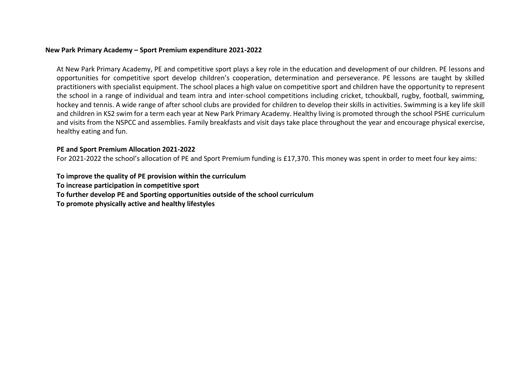## **New Park Primary Academy – Sport Premium expenditure 2021-2022**

At New Park Primary Academy, PE and competitive sport plays a key role in the education and development of our children. PE lessons and opportunities for competitive sport develop children's cooperation, determination and perseverance. PE lessons are taught by skilled practitioners with specialist equipment. The school places a high value on competitive sport and children have the opportunity to represent the school in a range of individual and team intra and inter-school competitions including cricket, tchoukball, rugby, football, swimming, hockey and tennis. A wide range of after school clubs are provided for children to develop their skills in activities. Swimming is a key life skill and children in KS2 swim for a term each year at New Park Primary Academy. Healthy living is promoted through the school PSHE curriculum and visits from the NSPCC and assemblies. Family breakfasts and visit days take place throughout the year and encourage physical exercise, healthy eating and fun.

## **PE and Sport Premium Allocation 2021-2022**

For 2021-2022 the school's allocation of PE and Sport Premium funding is £17,370. This money was spent in order to meet four key aims:

**To improve the quality of PE provision within the curriculum To increase participation in competitive sport To further develop PE and Sporting opportunities outside of the school curriculum To promote physically active and healthy lifestyles**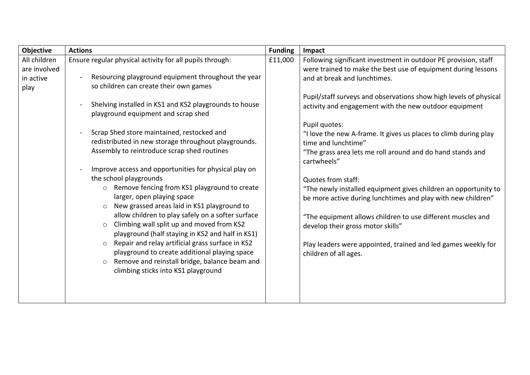| Objective                                         | <b>Actions</b>                                                                                                                                                                                                                                                                                                                                                                                                                                                                                                                                                                                                                                                                                                                                                                                                                                                                                                                                                                                                                 | <b>Funding</b> | Impact                                                                                                                                                                                                                                                                                                                                                                                                                                                                                                                                                                                                                                                                                                                                                                                                                                          |
|---------------------------------------------------|--------------------------------------------------------------------------------------------------------------------------------------------------------------------------------------------------------------------------------------------------------------------------------------------------------------------------------------------------------------------------------------------------------------------------------------------------------------------------------------------------------------------------------------------------------------------------------------------------------------------------------------------------------------------------------------------------------------------------------------------------------------------------------------------------------------------------------------------------------------------------------------------------------------------------------------------------------------------------------------------------------------------------------|----------------|-------------------------------------------------------------------------------------------------------------------------------------------------------------------------------------------------------------------------------------------------------------------------------------------------------------------------------------------------------------------------------------------------------------------------------------------------------------------------------------------------------------------------------------------------------------------------------------------------------------------------------------------------------------------------------------------------------------------------------------------------------------------------------------------------------------------------------------------------|
| All children<br>are involved<br>in active<br>play | Ensure regular physical activity for all pupils through:<br>Resourcing playground equipment throughout the year<br>so children can create their own games<br>Shelving installed in KS1 and KS2 playgrounds to house<br>playground equipment and scrap shed<br>Scrap Shed store maintained, restocked and<br>redistributed in new storage throughout playgrounds.<br>Assembly to reintroduce scrap shed routines<br>Improve access and opportunities for physical play on<br>the school playgrounds<br>Remove fencing from KS1 playground to create<br>$\circ$<br>larger, open playing space<br>New grassed areas laid in KS1 playground to<br>allow children to play safely on a softer surface<br>Climbing wall split up and moved from KS2<br>$\circ$<br>playground (half staying in KS2 and half in KS1)<br>Repair and relay artificial grass surface in KS2<br>$\circ$<br>playground to create additional playing space<br>Remove and reinstall bridge, balance beam and<br>$\circ$<br>climbing sticks into KS1 playground | £11,000        | Following significant investment in outdoor PE provision, staff<br>were trained to make the best use of equipment during lessons<br>and at break and lunchtimes.<br>Pupil/staff surveys and observations show high levels of physical<br>activity and engagement with the new outdoor equipment<br>Pupil quotes:<br>"I love the new A-frame. It gives us places to climb during play<br>time and lunchtime"<br>"The grass area lets me roll around and do hand stands and<br>cartwheels"<br>Quotes from staff:<br>"The newly installed equipment gives children an opportunity to<br>be more active during lunchtimes and play with new children"<br>"The equipment allows children to use different muscles and<br>develop their gross motor skills"<br>Play leaders were appointed, trained and led games weekly for<br>children of all ages. |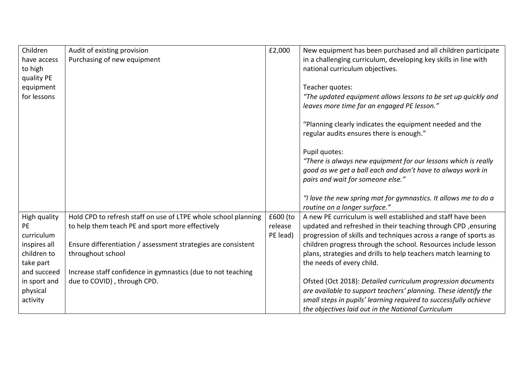| Children     | Audit of existing provision                                    | £2,000   | New equipment has been purchased and all children participate                                                          |
|--------------|----------------------------------------------------------------|----------|------------------------------------------------------------------------------------------------------------------------|
| have access  | Purchasing of new equipment                                    |          | in a challenging curriculum, developing key skills in line with                                                        |
| to high      |                                                                |          | national curriculum objectives.                                                                                        |
| quality PE   |                                                                |          |                                                                                                                        |
| equipment    |                                                                |          | Teacher quotes:                                                                                                        |
| for lessons  |                                                                |          | "The updated equipment allows lessons to be set up quickly and<br>leaves more time for an engaged PE lesson."          |
|              |                                                                |          | "Planning clearly indicates the equipment needed and the<br>regular audits ensures there is enough."                   |
|              |                                                                |          | Pupil quotes:                                                                                                          |
|              |                                                                |          | "There is always new equipment for our lessons which is really                                                         |
|              |                                                                |          | good as we get a ball each and don't have to always work in                                                            |
|              |                                                                |          | pairs and wait for someone else."                                                                                      |
|              |                                                                |          |                                                                                                                        |
|              |                                                                |          | "I love the new spring mat for gymnastics. It allows me to do a                                                        |
|              |                                                                |          | routine on a longer surface."                                                                                          |
| High quality | Hold CPD to refresh staff on use of LTPE whole school planning | £600 (to | A new PE curriculum is well established and staff have been                                                            |
| <b>PE</b>    | to help them teach PE and sport more effectively               | release  | updated and refreshed in their teaching through CPD, ensuring                                                          |
| curriculum   |                                                                | PE lead) | progression of skills and techniques across a range of sports as                                                       |
| inspires all | Ensure differentiation / assessment strategies are consistent  |          | children progress through the school. Resources include lesson                                                         |
| children to  | throughout school                                              |          | plans, strategies and drills to help teachers match learning to                                                        |
| take part    |                                                                |          | the needs of every child.                                                                                              |
| and succeed  | Increase staff confidence in gymnastics (due to not teaching   |          |                                                                                                                        |
| in sport and | due to COVID), through CPD.                                    |          | Ofsted (Oct 2018): Detailed curriculum progression documents                                                           |
| physical     |                                                                |          | are available to support teachers' planning. These identify the                                                        |
| activity     |                                                                |          | small steps in pupils' learning required to successfully achieve<br>the objectives laid out in the National Curriculum |
|              |                                                                |          |                                                                                                                        |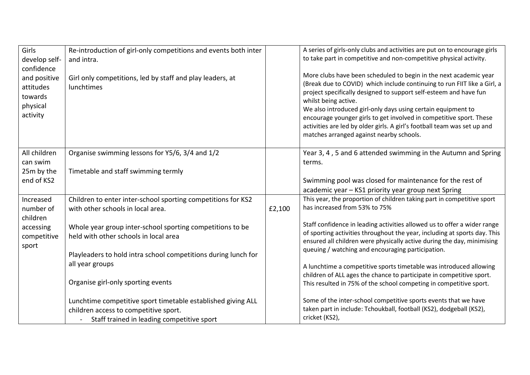| Girls<br>develop self-<br>confidence<br>and positive<br>attitudes<br>towards<br>physical<br>activity | Re-introduction of girl-only competitions and events both inter<br>and intra.<br>Girl only competitions, led by staff and play leaders, at<br>lunchtimes |        | A series of girls-only clubs and activities are put on to encourage girls<br>to take part in competitive and non-competitive physical activity.<br>More clubs have been scheduled to begin in the next academic year<br>(Break due to COVID) which include continuing to run FIIT like a Girl, a<br>project specifically designed to support self-esteem and have fun<br>whilst being active.<br>We also introduced girl-only days using certain equipment to<br>encourage younger girls to get involved in competitive sport. These<br>activities are led by older girls. A girl's football team was set up and |
|------------------------------------------------------------------------------------------------------|----------------------------------------------------------------------------------------------------------------------------------------------------------|--------|------------------------------------------------------------------------------------------------------------------------------------------------------------------------------------------------------------------------------------------------------------------------------------------------------------------------------------------------------------------------------------------------------------------------------------------------------------------------------------------------------------------------------------------------------------------------------------------------------------------|
|                                                                                                      |                                                                                                                                                          |        | matches arranged against nearby schools.                                                                                                                                                                                                                                                                                                                                                                                                                                                                                                                                                                         |
| All children<br>can swim<br>25m by the                                                               | Organise swimming lessons for Y5/6, 3/4 and 1/2<br>Timetable and staff swimming termly                                                                   |        | Year 3, 4, 5 and 6 attended swimming in the Autumn and Spring<br>terms.                                                                                                                                                                                                                                                                                                                                                                                                                                                                                                                                          |
| end of KS2                                                                                           |                                                                                                                                                          |        | Swimming pool was closed for maintenance for the rest of<br>academic year - KS1 priority year group next Spring                                                                                                                                                                                                                                                                                                                                                                                                                                                                                                  |
| Increased<br>number of                                                                               | Children to enter inter-school sporting competitions for KS2<br>with other schools in local area.                                                        | £2,100 | This year, the proportion of children taking part in competitive sport<br>has increased from 53% to 75%                                                                                                                                                                                                                                                                                                                                                                                                                                                                                                          |
| children<br>accessing<br>competitive<br>sport                                                        | Whole year group inter-school sporting competitions to be<br>held with other schools in local area                                                       |        | Staff confidence in leading activities allowed us to offer a wider range<br>of sporting activities throughout the year, including at sports day. This<br>ensured all children were physically active during the day, minimising                                                                                                                                                                                                                                                                                                                                                                                  |
|                                                                                                      | Playleaders to hold intra school competitions during lunch for<br>all year groups                                                                        |        | queuing / watching and encouraging participation.<br>A lunchtime a competitive sports timetable was introduced allowing                                                                                                                                                                                                                                                                                                                                                                                                                                                                                          |
|                                                                                                      | Organise girl-only sporting events                                                                                                                       |        | children of ALL ages the chance to participate in competitive sport.<br>This resulted in 75% of the school competing in competitive sport.                                                                                                                                                                                                                                                                                                                                                                                                                                                                       |
|                                                                                                      | Lunchtime competitive sport timetable established giving ALL<br>children access to competitive sport.<br>Staff trained in leading competitive sport      |        | Some of the inter-school competitive sports events that we have<br>taken part in include: Tchoukball, football (KS2), dodgeball (KS2),<br>cricket (KS2),                                                                                                                                                                                                                                                                                                                                                                                                                                                         |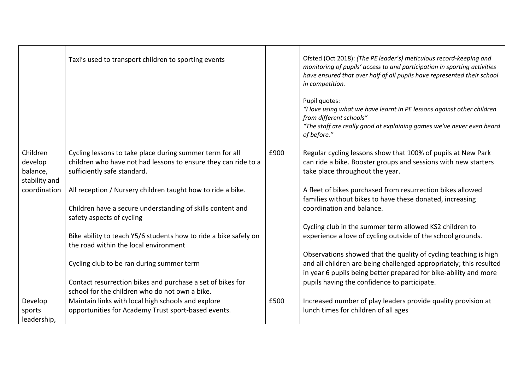|                                                  | Taxi's used to transport children to sporting events                                                                                                      |      | Ofsted (Oct 2018): (The PE leader's) meticulous record-keeping and<br>monitoring of pupils' access to and participation in sporting activities<br>have ensured that over half of all pupils have represented their school<br>in competition.<br>Pupil quotes:<br>"I love using what we have learnt in PE lessons against other children<br>from different schools"<br>"The staff are really good at explaining games we've never even heard<br>of before." |
|--------------------------------------------------|-----------------------------------------------------------------------------------------------------------------------------------------------------------|------|------------------------------------------------------------------------------------------------------------------------------------------------------------------------------------------------------------------------------------------------------------------------------------------------------------------------------------------------------------------------------------------------------------------------------------------------------------|
| Children<br>develop<br>balance,<br>stability and | Cycling lessons to take place during summer term for all<br>children who have not had lessons to ensure they can ride to a<br>sufficiently safe standard. | £900 | Regular cycling lessons show that 100% of pupils at New Park<br>can ride a bike. Booster groups and sessions with new starters<br>take place throughout the year.                                                                                                                                                                                                                                                                                          |
| coordination                                     | All reception / Nursery children taught how to ride a bike.<br>Children have a secure understanding of skills content and<br>safety aspects of cycling    |      | A fleet of bikes purchased from resurrection bikes allowed<br>families without bikes to have these donated, increasing<br>coordination and balance.                                                                                                                                                                                                                                                                                                        |
|                                                  | Bike ability to teach Y5/6 students how to ride a bike safely on<br>the road within the local environment                                                 |      | Cycling club in the summer term allowed KS2 children to<br>experience a love of cycling outside of the school grounds.                                                                                                                                                                                                                                                                                                                                     |
|                                                  | Cycling club to be ran during summer term                                                                                                                 |      | Observations showed that the quality of cycling teaching is high<br>and all children are being challenged appropriately; this resulted<br>in year 6 pupils being better prepared for bike-ability and more                                                                                                                                                                                                                                                 |
|                                                  | Contact resurrection bikes and purchase a set of bikes for<br>school for the children who do not own a bike.                                              |      | pupils having the confidence to participate.                                                                                                                                                                                                                                                                                                                                                                                                               |
| Develop<br>sports<br>leadership,                 | Maintain links with local high schools and explore<br>opportunities for Academy Trust sport-based events.                                                 | £500 | Increased number of play leaders provide quality provision at<br>lunch times for children of all ages                                                                                                                                                                                                                                                                                                                                                      |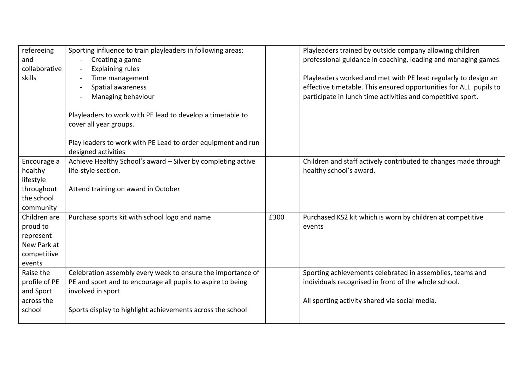| refereeing<br>and<br>collaborative | Sporting influence to train playleaders in following areas:<br>Creating a game<br><b>Explaining rules</b> |      | Playleaders trained by outside company allowing children<br>professional guidance in coaching, leading and managing games.       |
|------------------------------------|-----------------------------------------------------------------------------------------------------------|------|----------------------------------------------------------------------------------------------------------------------------------|
| skills                             | Time management                                                                                           |      | Playleaders worked and met with PE lead regularly to design an                                                                   |
|                                    | Spatial awareness<br>Managing behaviour                                                                   |      | effective timetable. This ensured opportunities for ALL pupils to<br>participate in lunch time activities and competitive sport. |
|                                    |                                                                                                           |      |                                                                                                                                  |
|                                    | Playleaders to work with PE lead to develop a timetable to                                                |      |                                                                                                                                  |
|                                    | cover all year groups.                                                                                    |      |                                                                                                                                  |
|                                    | Play leaders to work with PE Lead to order equipment and run<br>designed activities                       |      |                                                                                                                                  |
| Encourage a                        | Achieve Healthy School's award - Silver by completing active                                              |      | Children and staff actively contributed to changes made through                                                                  |
| healthy                            | life-style section.                                                                                       |      | healthy school's award.                                                                                                          |
| lifestyle<br>throughout            | Attend training on award in October                                                                       |      |                                                                                                                                  |
| the school                         |                                                                                                           |      |                                                                                                                                  |
| community                          |                                                                                                           |      |                                                                                                                                  |
| Children are                       | Purchase sports kit with school logo and name                                                             | £300 | Purchased KS2 kit which is worn by children at competitive                                                                       |
| proud to                           |                                                                                                           |      | events                                                                                                                           |
| represent                          |                                                                                                           |      |                                                                                                                                  |
| New Park at                        |                                                                                                           |      |                                                                                                                                  |
| competitive<br>events              |                                                                                                           |      |                                                                                                                                  |
| Raise the                          | Celebration assembly every week to ensure the importance of                                               |      | Sporting achievements celebrated in assemblies, teams and                                                                        |
| profile of PE                      | PE and sport and to encourage all pupils to aspire to being                                               |      | individuals recognised in front of the whole school.                                                                             |
| and Sport                          | involved in sport                                                                                         |      |                                                                                                                                  |
| across the                         |                                                                                                           |      | All sporting activity shared via social media.                                                                                   |
| school                             | Sports display to highlight achievements across the school                                                |      |                                                                                                                                  |
|                                    |                                                                                                           |      |                                                                                                                                  |